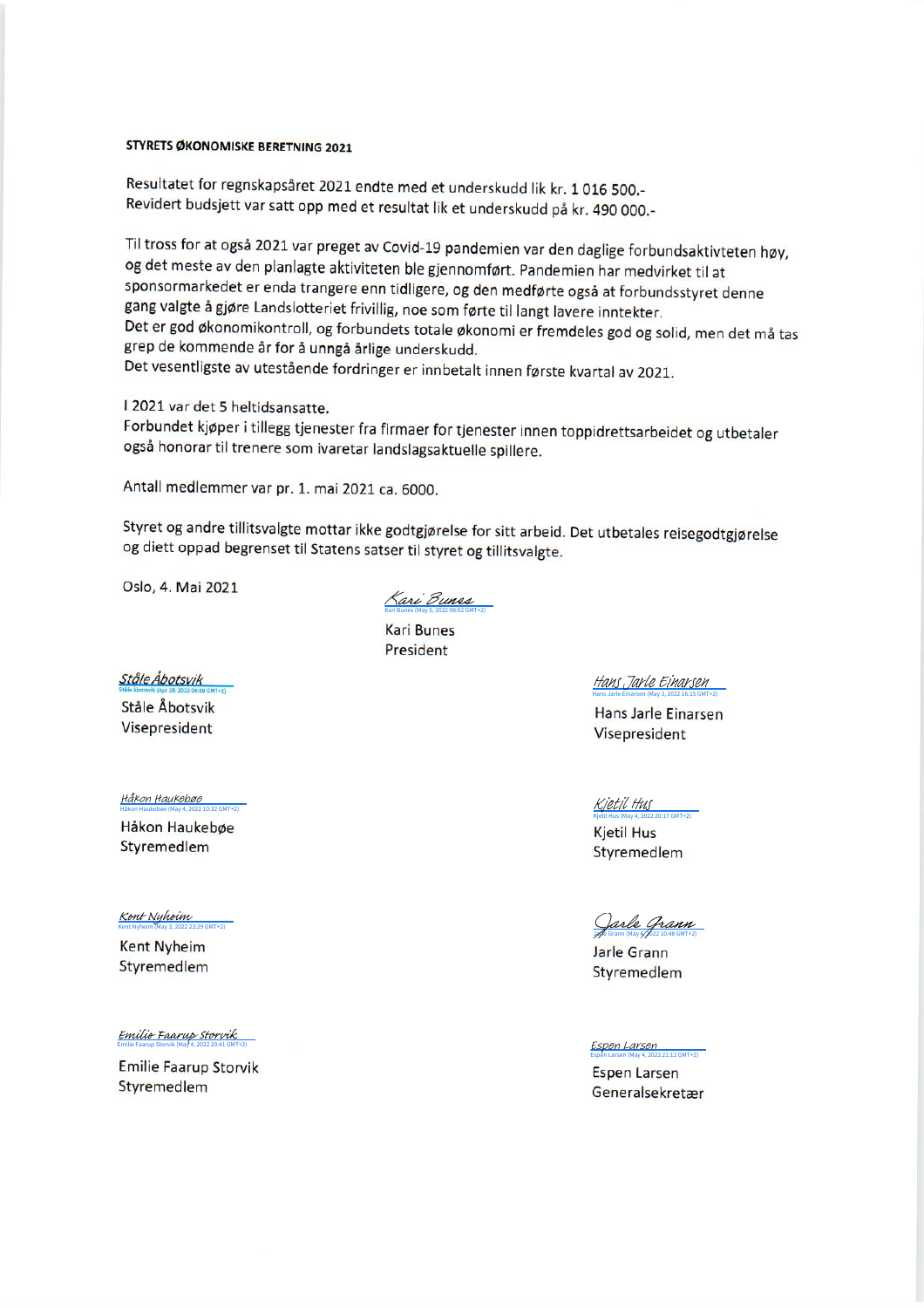## **STYRETS ØKONOMISKE BERETNING 2021**

Resultatet for regnskapsåret 2021 endte med et underskudd lik kr. 1016 500.-Revidert budsjett var satt opp med et resultat lik et underskudd på kr. 490 000.-

Til tross for at også 2021 var preget av Covid-19 pandemien var den daglige forbundsaktivteten høy, og det meste av den planlagte aktiviteten ble gjennomført. Pandemien har medvirket til at sponsormarkedet er enda trangere enn tidligere, og den medførte også at forbundsstyret denne gang valgte å gjøre Landslotteriet frivillig, noe som førte til langt lavere inntekter. Det er god økonomikontroll, og forbundets totale økonomi er fremdeles god og solid, men det må tas grep de kommende år for å unngå årlige underskudd. Det vesentligste av utestående fordringer er innbetalt innen første kvartal av 2021.

I 2021 var det 5 heltidsansatte.

Forbundet kjøper i tillegg tjenester fra firmaer for tjenester innen toppidrettsarbeidet og utbetaler også honorar til trenere som ivaretar landslagsaktuelle spillere.

Antall medlemmer var pr. 1. mai 2021 ca. 6000.

Styret og andre tillitsvalgte mottar ikke godtgjørelse for sitt arbeid. Det utbetales reisegodtgjørelse og diett oppad begrenset til Statens satser til styret og tillitsvalgte.

Oslo, 4. Mai 2021

Kari Bunes (May 5, 2022 08:02 GMT+2) [Kari Bunes](https://secure.eu1.adobesign.com/verifier?tx=CBJCHBCAABAA1tgzz0lU899-SmA-qQeCcTb0CCfU-yE_)

Kari Bunes President

Ståle Åbotsvik

Ståle Åbotsvik Visepresident

Håkon Haukebøe (May 4, 2022 10:32 GMT+2) [Håkon Haukebøe](https://eu1.documents.adobe.com/verifier?tx=CBJCHBCAABAA1tgzz0lU899-SmA-qQeCcTb0CCfU-yE_)

Håkon Haukebøe Styremedlem

Kent Nyheim (May 3, 2022 23:29 GMT+2) [Kent Nyheim](https://eu1.documents.adobe.com/verifier?tx=CBJCHBCAABAA1tgzz0lU899-SmA-qQeCcTb0CCfU-yE_)

**Kent Nyheim** Styremedlem

Emilie Faarup Storvik (May 4, 2022 20:41 GMT+2) [Emilie Faarup Storvik](https://eu1.documents.adobe.com/verifier?tx=CBJCHBCAABAA1tgzz0lU899-SmA-qQeCcTb0CCfU-yE_)

**Emilie Faarup Storvik** Styremedlem

Hans Jarle Einarsen (May 3, 2022 16:15 GMT+2) [Hans Jarle Einarsen](https://eu1.documents.adobe.com/verifier?tx=CBJCHBCAABAA1tgzz0lU899-SmA-qQeCcTb0CCfU-yE_)

Hans Jarle Einarsen Visepresident

Kjetil Hus (May 4, 2022 20:17 GMT+2) [Kjetil Hus](https://eu1.documents.adobe.com/verifier?tx=CBJCHBCAABAA1tgzz0lU899-SmA-qQeCcTb0CCfU-yE_)

**Kjetil Hus** Styremedlem

[Jarle Grann](https://eu1.documents.adobe.com/verifier?tx=CBJCHBCAABAA1tgzz0lU899-SmA-qQeCcTb0CCfU-yE_)<br>He Grann (May 4, 2022 10:48 GMT+2)<br>Jarle Grann

Styremedlem

Espen Larsen (May 4, 2022 21:12 GMT+2) [Espen Larsen](https://eu1.documents.adobe.com/verifier?tx=CBJCHBCAABAA1tgzz0lU899-SmA-qQeCcTb0CCfU-yE_)

Espen Larsen Generalsekretær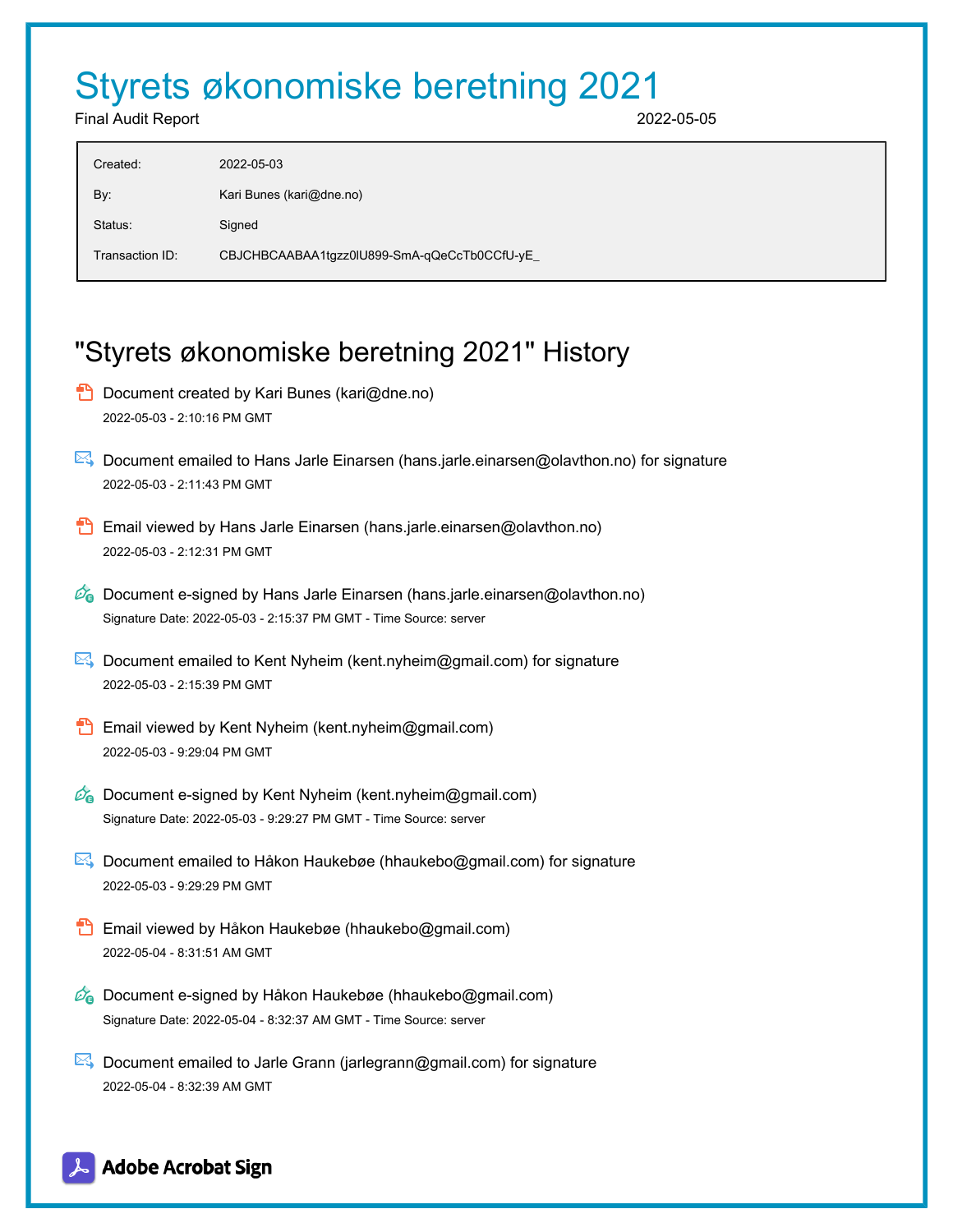## Styrets økonomiske beretning 2021

Final Audit Report 2022-05-05

| Created:        | 2022-05-03                                   |
|-----------------|----------------------------------------------|
| By:             | Kari Bunes (kari@dne.no)                     |
| Status:         | Signed                                       |
| Transaction ID: | CBJCHBCAABAA1tgzz0lU899-SmA-qQeCcTb0CCfU-yE_ |

## "Styrets økonomiske beretning 2021" History

- **D** Document created by Kari Bunes (kari@dne.no) 2022-05-03 - 2:10:16 PM GMT
- Document emailed to Hans Jarle Einarsen (hans.jarle.einarsen@olavthon.no) for signature 2022-05-03 - 2:11:43 PM GMT
- Email viewed by Hans Jarle Einarsen (hans.jarle.einarsen@olavthon.no) 2022-05-03 - 2:12:31 PM GMT
- $\mathscr{O}_0$  Document e-signed by Hans Jarle Einarsen (hans.jarle.einarsen@olavthon.no) Signature Date: 2022-05-03 - 2:15:37 PM GMT - Time Source: server
- $\mathbb{R}$  Document emailed to Kent Nyheim (kent.nyheim@gmail.com) for signature 2022-05-03 - 2:15:39 PM GMT
- **Email viewed by Kent Nyheim (kent.nyheim@gmail.com)** 2022-05-03 - 9:29:04 PM GMT
- $\mathscr{O}_\mathbf{G}$  Document e-signed by Kent Nyheim (kent.nyheim@gmail.com) Signature Date: 2022-05-03 - 9:29:27 PM GMT - Time Source: server
- Document emailed to Håkon Haukebøe (hhaukebo@gmail.com) for signature 2022-05-03 - 9:29:29 PM GMT
- **Email viewed by Håkon Haukebøe (hhaukebo@gmail.com)** 2022-05-04 - 8:31:51 AM GMT
- Co Document e-signed by Håkon Haukebøe (hhaukebo@gmail.com) Signature Date: 2022-05-04 - 8:32:37 AM GMT - Time Source: server
- $\mathbb{E}$  Document emailed to Jarle Grann (jarlegrann@gmail.com) for signature 2022-05-04 - 8:32:39 AM GMT

## **Adobe Acrobat Sign**